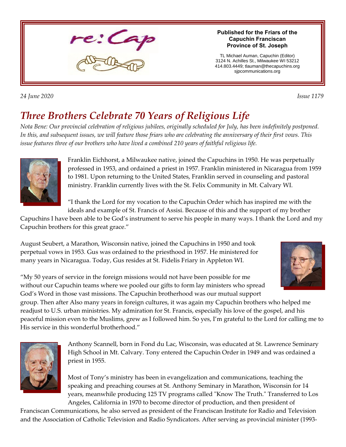

*24 June 2020 Issue 1179* 

# *Three Brothers Celebrate 70 Years of Religious Life*

*Nota Bene: Our provincial celebration of religious jubilees, originally scheduled for July, has been indefinitely postponed. In this, and subsequent issues, we will feature those friars who are celebrating the anniversary of their first vows. This issue features three of our brothers who have lived a combined 210 years of faithful religious life.*



Franklin Eichhorst, a Milwaukee native, joined the Capuchins in 1950. He was perpetually professed in 1953, and ordained a priest in 1957. Franklin ministered in Nicaragua from 1959 to 1981. Upon returning to the United States, Franklin served in counseling and pastoral ministry. Franklin currently lives with the St. Felix Community in Mt. Calvary WI.

"I thank the Lord for my vocation to the Capuchin Order which has inspired me with the ideals and example of St. Francis of Assisi. Because of this and the support of my brother

Capuchins I have been able to be God's instrument to serve his people in many ways. I thank the Lord and my Capuchin brothers for this great grace."

August Seubert, a Marathon, Wisconsin native, joined the Capuchins in 1950 and took perpetual vows in 1953. Gus was ordained to the priesthood in 1957. He ministered for many years in Nicaragua. Today, Gus resides at St. Fidelis Friary in Appleton WI.



"My 50 years of service in the foreign missions would not have been possible for me without our Capuchin teams where we pooled our gifts to form lay ministers who spread God's Word in those vast missions. The Capuchin brotherhood was our mutual support

group. Then after Also many years in foreign cultures, it was again my Capuchin brothers who helped me readjust to U.S. urban ministries. My admiration for St. Francis, especially his love of the gospel, and his peaceful mission even to the Muslims, grew as I followed him. So yes, I'm grateful to the Lord for calling me to His service in this wonderful brotherhood."



Anthony Scannell, born in Fond du Lac, Wisconsin, was educated at St. Lawrence Seminary High School in Mt. Calvary. Tony entered the Capuchin Order in 1949 and was ordained a priest in 1955.

Most of Tony's ministry has been in evangelization and communications, teaching the speaking and preaching courses at St. Anthony Seminary in Marathon, Wisconsin for 14 years, meanwhile producing 125 TV programs called "Know The Truth." Transferred to Los Angeles, California in 1970 to become director of production, and then president of

Franciscan Communications, he also served as president of the Franciscan Institute for Radio and Television and the Association of Catholic Television and Radio Syndicators. After serving as provincial minister (1993-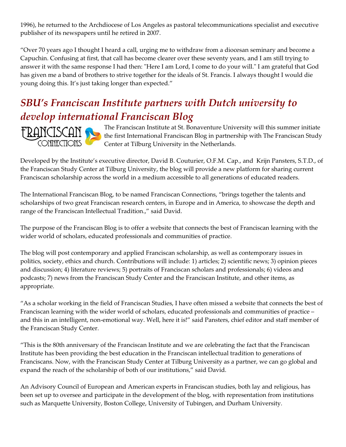1996), he returned to the Archdiocese of Los Angeles as pastoral telecommunications specialist and executive publisher of its newspapers until he retired in 2007.

"Over 70 years ago I thought I heard a call, urging me to withdraw from a diocesan seminary and become a Capuchin. Confusing at first, that call has become clearer over these seventy years, and I am still trying to answer it with the same response I had then: "Here I am Lord, I come to do your will." I am grateful that God has given me a band of brothers to strive together for the ideals of St. Francis. I always thought I would die young doing this. It's just taking longer than expected."

## *SBU's Franciscan Institute partners with Dutch university to develop international Franciscan Blog*



The Franciscan Institute at St. Bonaventure University will this summer initiate the first International Franciscan Blog in partnership with The Franciscan Study Center at Tilburg University in the Netherlands.

Developed by the Institute's executive director, David B. Couturier, O.F.M. Cap., and Krijn Pansters, S.T.D., of the Franciscan Study Center at Tilburg University, the blog will provide a new platform for sharing current Franciscan scholarship across the world in a medium accessible to all generations of educated readers.

The International Franciscan Blog, to be named Franciscan Connections, "brings together the talents and scholarships of two great Franciscan research centers, in Europe and in America, to showcase the depth and range of the Franciscan Intellectual Tradition.," said David.

The purpose of the Franciscan Blog is to offer a website that connects the best of Franciscan learning with the wider world of scholars, educated professionals and communities of practice.

The blog will post contemporary and applied Franciscan scholarship, as well as contemporary issues in politics, society, ethics and church. Contributions will include: 1) articles; 2) scientific news; 3) opinion pieces and discussion; 4) literature reviews; 5) portraits of Franciscan scholars and professionals; 6) videos and podcasts; 7) news from the Franciscan Study Center and the Franciscan Institute, and other items, as appropriate.

"As a scholar working in the field of Franciscan Studies, I have often missed a website that connects the best of Franciscan learning with the wider world of scholars, educated professionals and communities of practice – and this in an intelligent, non-emotional way. Well, here it is!" said Pansters, chief editor and staff member of the Franciscan Study Center.

"This is the 80th anniversary of the Franciscan Institute and we are celebrating the fact that the Franciscan Institute has been providing the best education in the Franciscan intellectual tradition to generations of Franciscans. Now, with the Franciscan Study Center at Tilburg University as a partner, we can go global and expand the reach of the scholarship of both of our institutions," said David.

An Advisory Council of European and American experts in Franciscan studies, both lay and religious, has been set up to oversee and participate in the development of the blog, with representation from institutions such as Marquette University, Boston College, University of Tubingen, and Durham University.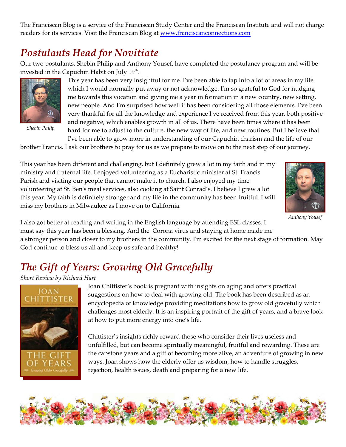The Franciscan Blog is a service of the Franciscan Study Center and the Franciscan Institute and will not charge readers for its services. Visit the Franciscan Blog at [www.franciscanconnections.com](http://www.franciscanconnections.com)

## *Postulants Head for Novitiate*

Our two postulants, Shebin Philip and Anthony Yousef, have completed the postulancy program and will be invested in the Capuchin Habit on July  $19<sup>th</sup>$ .



*Shebin Philip*

This year has been very insightful for me. I've been able to tap into a lot of areas in my life which I would normally put away or not acknowledge. I'm so grateful to God for nudging me towards this vocation and giving me a year in formation in a new country, new setting, new people. And I'm surprised how well it has been considering all those elements. I've been very thankful for all the knowledge and experience I've received from this year, both positive and negative, which enables growth in all of us. There have been times where it has been hard for me to adjust to the culture, the new way of life, and new routines. But I believe that

I've been able to grow more in understanding of our Capuchin charism and the life of our brother Francis. I ask our brothers to pray for us as we prepare to move on to the next step of our journey.

This year has been different and challenging, but I definitely grew a lot in my faith and in my ministry and fraternal life. I enjoyed volunteering as a Eucharistic minister at St. Francis Parish and visiting our people that cannot make it to church. I also enjoyed my time volunteering at St. Ben's meal services, also cooking at Saint Conrad's. I believe I grew a lot this year. My faith is definitely stronger and my life in the community has been fruitful. I will miss my brothers in Milwaukee as I move on to California.



*Anthony Yousef*

I also got better at reading and writing in the English language by attending ESL classes. I must say this year has been a blessing. And the Corona virus and staying at home made me a stronger person and closer to my brothers in the community. I'm excited for the next stage of formation. May God continue to bless us all and keep us safe and healthy!

# *The Gift of Years: Growing Old Gracefully*

*Short Review by Richard Hart*



Joan Chittister's book is pregnant with insights on aging and offers practical suggestions on how to deal with growing old. The book has been described as an encyclopedia of knowledge providing meditations how to grow old gracefully which challenges most elderly. It is an inspiring portrait of the gift of years, and a brave look at how to put more energy into one's life.

Chittister's insights richly reward those who consider their lives useless and unfulfilled, but can become spiritually meaningful, fruitful and rewarding. These are the capstone years and a gift of becoming more alive, an adventure of growing in new ways. Joan shows how the elderly offer us wisdom, how to handle struggles, rejection, health issues, death and preparing for a new life.